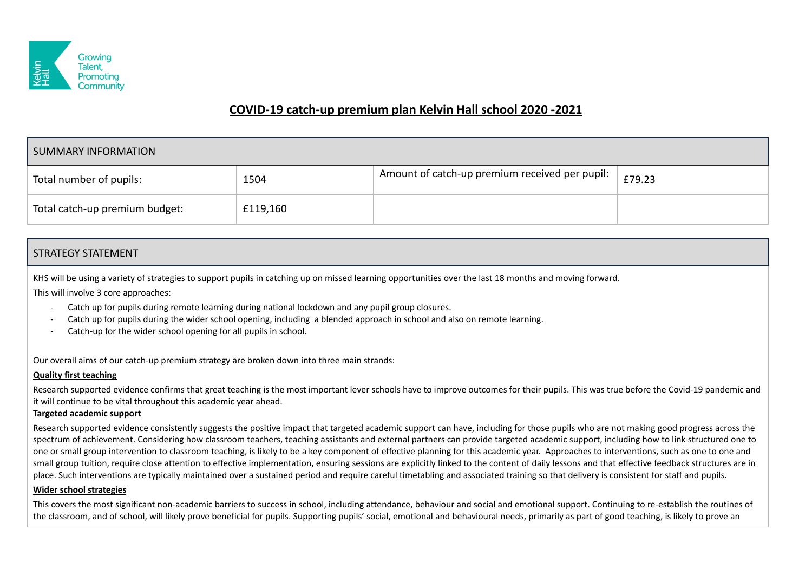

# **COVID-19 catch-up premium plan Kelvin Hall school 2020 -2021**

| SUMMARY INFORMATION            |          |                                                |        |  |  |  |
|--------------------------------|----------|------------------------------------------------|--------|--|--|--|
| Total number of pupils:        | 1504     | Amount of catch-up premium received per pupil: | £79.23 |  |  |  |
| Total catch-up premium budget: | £119,160 |                                                |        |  |  |  |

## STRATEGY STATEMENT

KHS will be using a variety of strategies to support pupils in catching up on missed learning opportunities over the last 18 months and moving forward.

This will involve 3 core approaches:

- Catch up for pupils during remote learning during national lockdown and any pupil group closures.
- Catch up for pupils during the wider school opening, including a blended approach in school and also on remote learning.
- Catch-up for the wider school opening for all pupils in school.

Our overall aims of our catch-up premium strategy are broken down into three main strands:

#### **Quality first teaching**

Research supported evidence confirms that great teaching is the most important lever schools have to improve outcomes for their pupils. This was true before the Covid-19 pandemic and it will continue to be vital throughout this academic year ahead.

#### **Targeted academic support**

Research supported evidence consistently suggests the positive impact that targeted academic support can have, including for those pupils who are not making good progress across the spectrum of achievement. Considering how classroom teachers, teaching assistants and external partners can provide targeted academic support, including how to link structured one to one or small group intervention to classroom teaching, is likely to be a key component of effective planning for this academic year. Approaches to interventions, such as one to one and small group tuition, require close attention to effective implementation, ensuring sessions are explicitly linked to the content of daily lessons and that effective feedback structures are in place. Such interventions are typically maintained over a sustained period and require careful timetabling and associated training so that delivery is consistent for staff and pupils.

#### **Wider school strategies**

This covers the most significant non-academic barriers to success in school, including attendance, behaviour and social and emotional support. Continuing to re-establish the routines of the classroom, and of school, will likely prove beneficial for pupils. Supporting pupils' social, emotional and behavioural needs, primarily as part of good teaching, is likely to prove an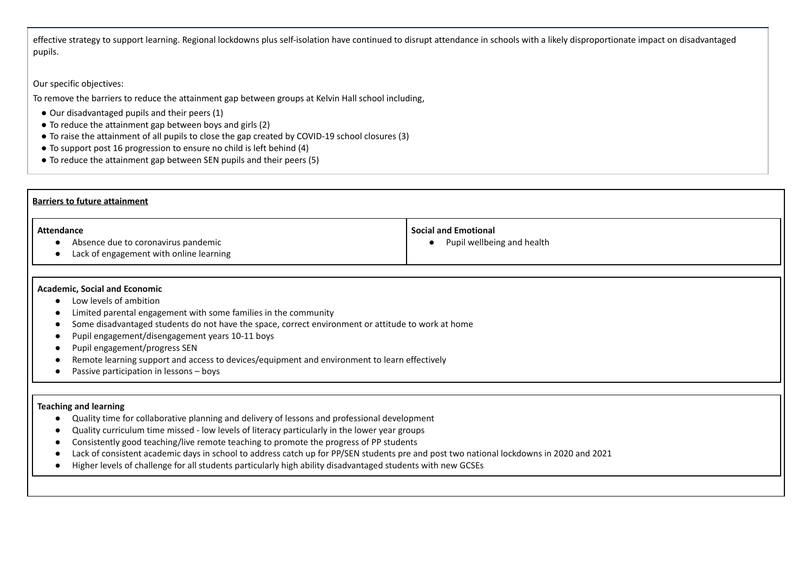effective strategy to support learning. Regional lockdowns plus self-isolation have continued to disrupt attendance in schools with a likely disproportionate impact on disadvantaged pupils.

### Our specific objectives:

To remove the barriers to reduce the attainment gap between groups at Kelvin Hall school including,

- Our disadvantaged pupils and their peers (1)
- To reduce the attainment gap between boys and girls (2)
- To raise the attainment of all pupils to close the gap created by COVID-19 school closures (3)
- To support post 16 progression to ensure no child is left behind (4)
- To reduce the attainment gap between SEN pupils and their peers (5)

| <b>Barriers to future attainment</b>                                                                                                                                                                                                                                                                                                                                                                                                                                                                                                                                              |                                                           |  |  |  |  |  |
|-----------------------------------------------------------------------------------------------------------------------------------------------------------------------------------------------------------------------------------------------------------------------------------------------------------------------------------------------------------------------------------------------------------------------------------------------------------------------------------------------------------------------------------------------------------------------------------|-----------------------------------------------------------|--|--|--|--|--|
| <b>Attendance</b><br>Absence due to coronavirus pandemic<br>Lack of engagement with online learning                                                                                                                                                                                                                                                                                                                                                                                                                                                                               | <b>Social and Emotional</b><br>Pupil wellbeing and health |  |  |  |  |  |
| <b>Academic, Social and Economic</b><br>Low levels of ambition<br>Limited parental engagement with some families in the community<br>Some disadvantaged students do not have the space, correct environment or attitude to work at home<br>Pupil engagement/disengagement years 10-11 boys<br>Pupil engagement/progress SEN<br>Remote learning support and access to devices/equipment and environment to learn effectively<br>Passive participation in lessons - boys                                                                                                            |                                                           |  |  |  |  |  |
| <b>Teaching and learning</b><br>Quality time for collaborative planning and delivery of lessons and professional development<br>Quality curriculum time missed - low levels of literacy particularly in the lower year groups<br>Consistently good teaching/live remote teaching to promote the progress of PP students<br>Lack of consistent academic days in school to address catch up for PP/SEN students pre and post two national lockdowns in 2020 and 2021<br>Higher levels of challenge for all students particularly high ability disadvantaged students with new GCSEs |                                                           |  |  |  |  |  |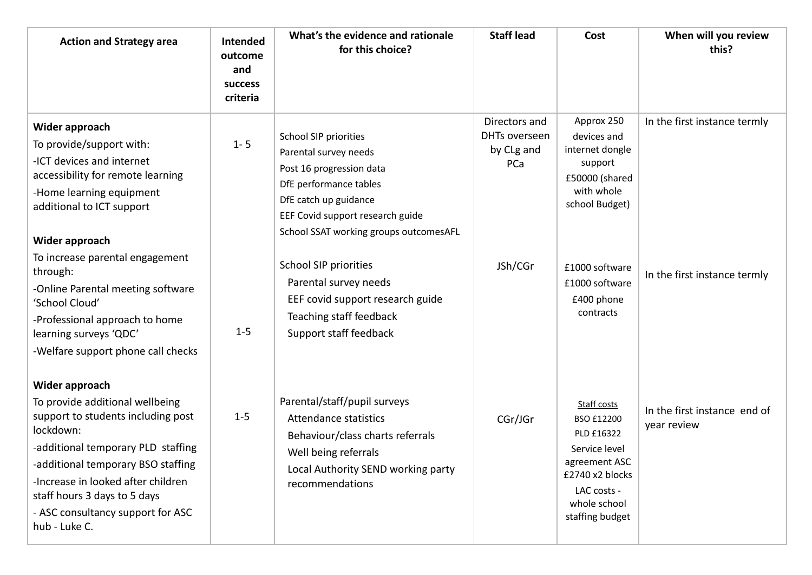| <b>Action and Strategy area</b>                                                                                                                                                                                                                                                                              | <b>Intended</b><br>outcome<br>and<br><b>success</b><br>criteria | What's the evidence and rationale<br>for this choice?                                                                                                                                                              | <b>Staff lead</b>                                   | Cost                                                                                                                                           | When will you review<br>this?               |
|--------------------------------------------------------------------------------------------------------------------------------------------------------------------------------------------------------------------------------------------------------------------------------------------------------------|-----------------------------------------------------------------|--------------------------------------------------------------------------------------------------------------------------------------------------------------------------------------------------------------------|-----------------------------------------------------|------------------------------------------------------------------------------------------------------------------------------------------------|---------------------------------------------|
| Wider approach<br>To provide/support with:<br>-ICT devices and internet<br>accessibility for remote learning<br>-Home learning equipment<br>additional to ICT support<br>Wider approach<br>To increase parental engagement                                                                                   | $1 - 5$                                                         | <b>School SIP priorities</b><br>Parental survey needs<br>Post 16 progression data<br>DfE performance tables<br>DfE catch up guidance<br>EEF Covid support research guide<br>School SSAT working groups outcomesAFL | Directors and<br>DHTs overseen<br>by CLg and<br>PCa | Approx 250<br>devices and<br>internet dongle<br>support<br>£50000 (shared<br>with whole<br>school Budget)                                      | In the first instance termly                |
| through:<br>-Online Parental meeting software<br>'School Cloud'<br>-Professional approach to home<br>learning surveys 'QDC'<br>-Welfare support phone call checks                                                                                                                                            | $1-5$                                                           | <b>School SIP priorities</b><br>Parental survey needs<br>EEF covid support research guide<br>Teaching staff feedback<br>Support staff feedback                                                                     | JSh/CGr                                             | £1000 software<br>£1000 software<br>£400 phone<br>contracts                                                                                    | In the first instance termly                |
| Wider approach<br>To provide additional wellbeing<br>support to students including post<br>lockdown:<br>-additional temporary PLD staffing<br>-additional temporary BSO staffing<br>-Increase in looked after children<br>staff hours 3 days to 5 days<br>- ASC consultancy support for ASC<br>hub - Luke C. | $1 - 5$                                                         | Parental/staff/pupil surveys<br><b>Attendance statistics</b><br>Behaviour/class charts referrals<br>Well being referrals<br>Local Authority SEND working party<br>recommendations                                  | CGr/JGr                                             | Staff costs<br>BSO £12200<br>PLD £16322<br>Service level<br>agreement ASC<br>£2740 x2 blocks<br>LAC costs -<br>whole school<br>staffing budget | In the first instance end of<br>year review |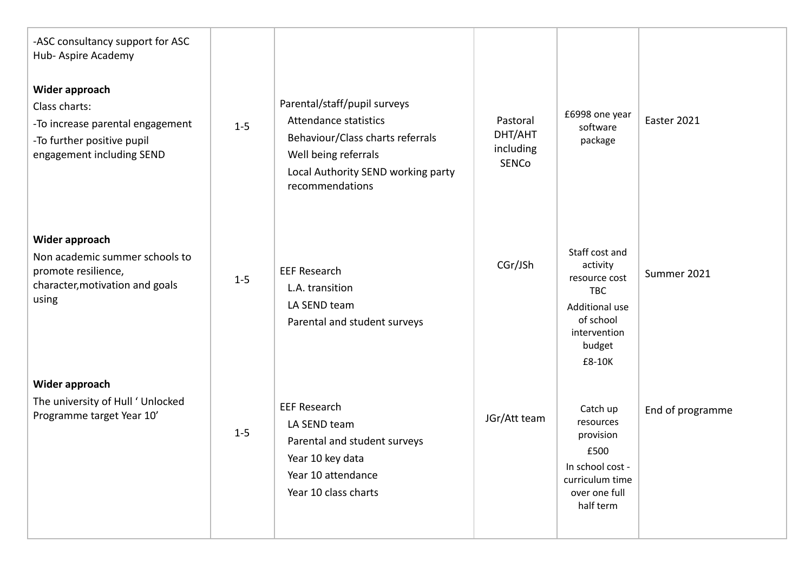| -ASC consultancy support for ASC<br>Hub-Aspire Academy                                                                         |         |                                                                                                                                                                            |                                                  |                                                                                                                              |                  |
|--------------------------------------------------------------------------------------------------------------------------------|---------|----------------------------------------------------------------------------------------------------------------------------------------------------------------------------|--------------------------------------------------|------------------------------------------------------------------------------------------------------------------------------|------------------|
| Wider approach<br>Class charts:<br>-To increase parental engagement<br>-To further positive pupil<br>engagement including SEND | $1 - 5$ | Parental/staff/pupil surveys<br>Attendance statistics<br>Behaviour/Class charts referrals<br>Well being referrals<br>Local Authority SEND working party<br>recommendations | Pastoral<br>DHT/AHT<br>including<br><b>SENCo</b> | £6998 one year<br>software<br>package                                                                                        | Easter 2021      |
| Wider approach<br>Non academic summer schools to<br>promote resilience,<br>character, motivation and goals<br>using            | $1 - 5$ | <b>EEF Research</b><br>L.A. transition<br>LA SEND team<br>Parental and student surveys                                                                                     | CGr/JSh                                          | Staff cost and<br>activity<br>resource cost<br><b>TBC</b><br>Additional use<br>of school<br>intervention<br>budget<br>£8-10K | Summer 2021      |
| Wider approach<br>The university of Hull ' Unlocked<br>Programme target Year 10'                                               | $1 - 5$ | <b>EEF Research</b><br>LA SEND team<br>Parental and student surveys<br>Year 10 key data<br>Year 10 attendance<br>Year 10 class charts                                      | JGr/Att team                                     | Catch up<br>resources<br>provision<br>£500<br>In school cost -<br>curriculum time<br>over one full<br>half term              | End of programme |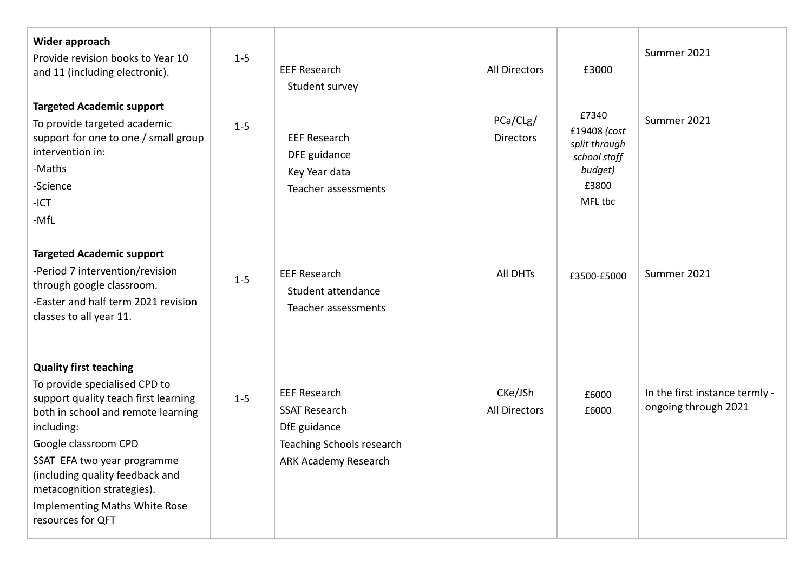| Wider approach<br>Provide revision books to Year 10<br>and 11 (including electronic).                                                                                                                                                                                                                                                    | $1 - 5$ | <b>EEF Research</b><br>Student survey                                                                            | All Directors                   | £3000                                                                                 | Summer 2021                                            |
|------------------------------------------------------------------------------------------------------------------------------------------------------------------------------------------------------------------------------------------------------------------------------------------------------------------------------------------|---------|------------------------------------------------------------------------------------------------------------------|---------------------------------|---------------------------------------------------------------------------------------|--------------------------------------------------------|
| <b>Targeted Academic support</b><br>To provide targeted academic<br>support for one to one / small group<br>intervention in:<br>-Maths<br>-Science<br>$-ICT$<br>-MfL                                                                                                                                                                     | $1-5$   | <b>EEF Research</b><br>DFE guidance<br>Key Year data<br>Teacher assessments                                      | PCa/CLg/<br><b>Directors</b>    | £7340<br>£19408 (cost<br>split through<br>school staff<br>budget)<br>£3800<br>MFL tbc | Summer 2021                                            |
| <b>Targeted Academic support</b><br>-Period 7 intervention/revision<br>through google classroom.<br>-Easter and half term 2021 revision<br>classes to all year 11.                                                                                                                                                                       | $1 - 5$ | <b>EEF Research</b><br>Student attendance<br>Teacher assessments                                                 | All DHTs                        | £3500-£5000                                                                           | Summer 2021                                            |
| <b>Quality first teaching</b><br>To provide specialised CPD to<br>support quality teach first learning<br>both in school and remote learning<br>including:<br>Google classroom CPD<br>SSAT EFA two year programme<br>(including quality feedback and<br>metacognition strategies).<br>Implementing Maths White Rose<br>resources for QFT | $1 - 5$ | <b>EEF Research</b><br><b>SSAT Research</b><br>DfE guidance<br>Teaching Schools research<br>ARK Academy Research | CKe/JSh<br><b>All Directors</b> | £6000<br>£6000                                                                        | In the first instance termly -<br>ongoing through 2021 |